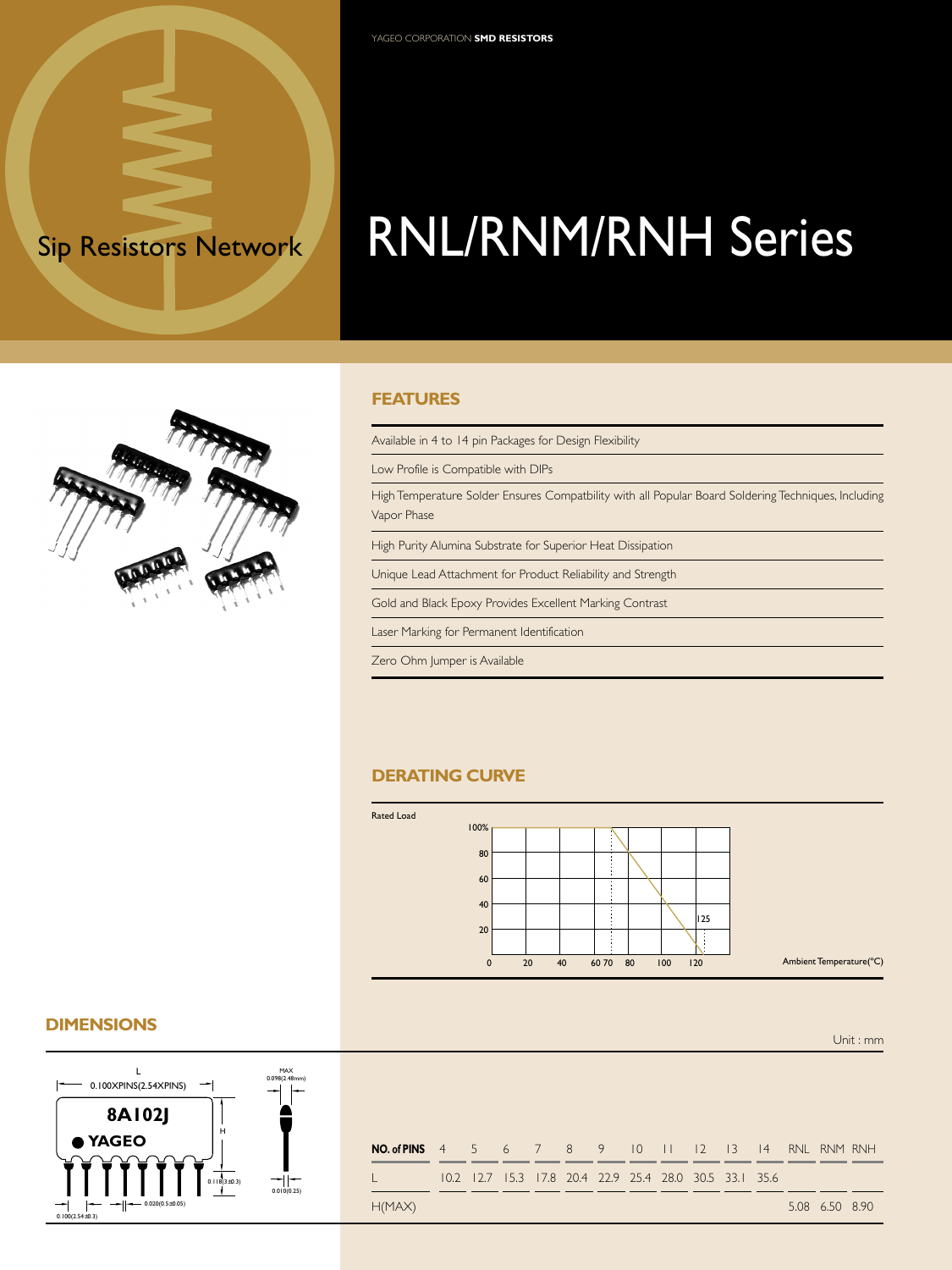# Sip Resistors Network RNL/RNM/RNH Series

#### **FEATURES**

Available in 4 to 14 pin Packages for Design Flexibility

Low Profile is Compatible with DIPs

YAGEO CORPORATION **SMD RESISTORS**

High Temperature Solder Ensures Compatbility with all Popular Board Soldering Techniques, Including Vapor Phase

High Purity Alumina Substrate for Superior Heat Dissipation

Unique Lead Attachment for Product Reliability and Strength

Gold and Black Epoxy Provides Excellent Marking Contrast

Laser Marking for Permanent Identification

Zero Ohm Jumper is Available

#### **DERATING CURVE**



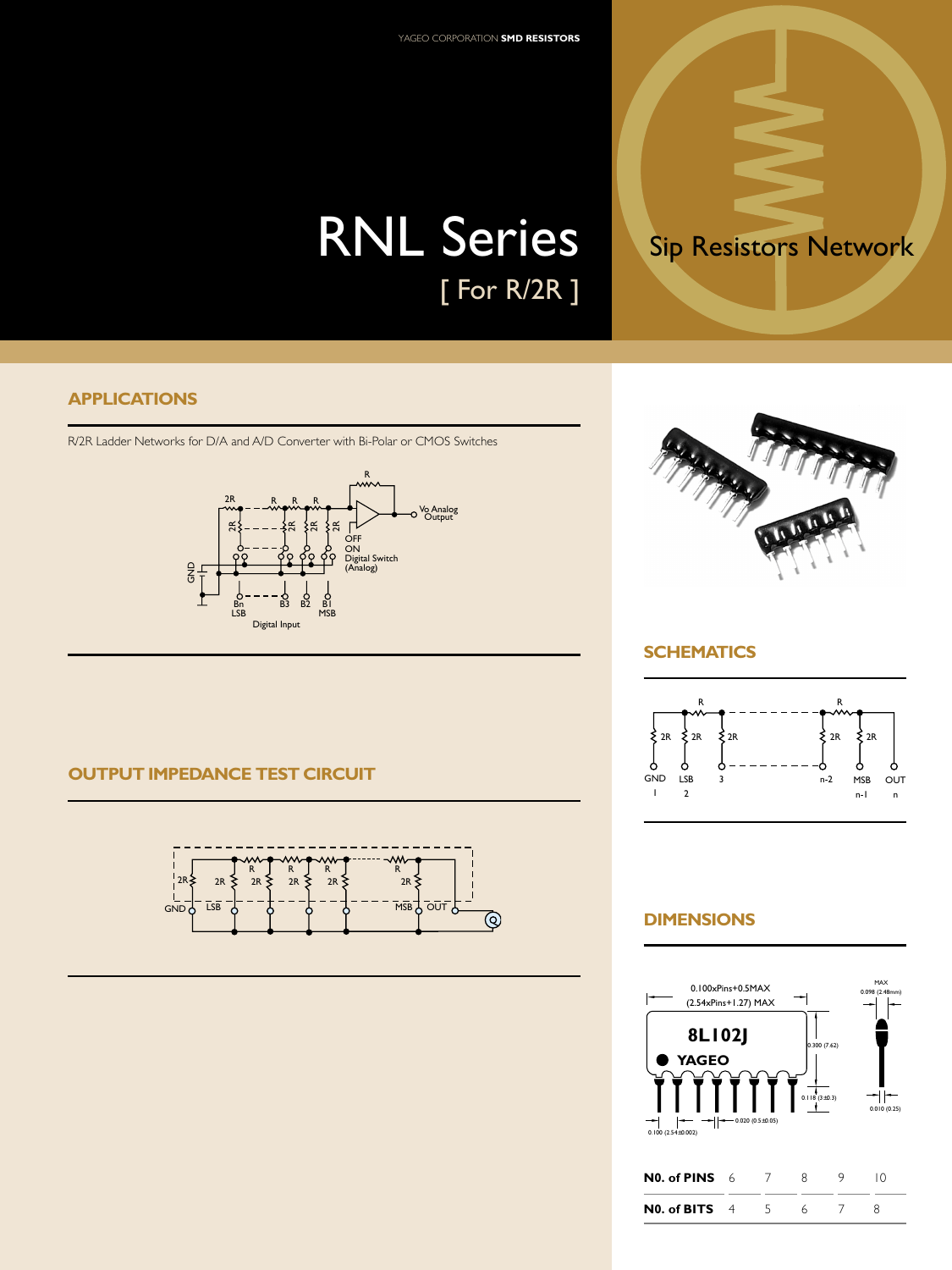## RNL Series Sip Resistors Network [ For R/2R ]

#### **APPLICATIONS**

R/2R Ladder Networks for D/A and A/D Converter with Bi-Polar or CMOS Switches









## **SCHEMATICS**



## **DIMENSIONS**